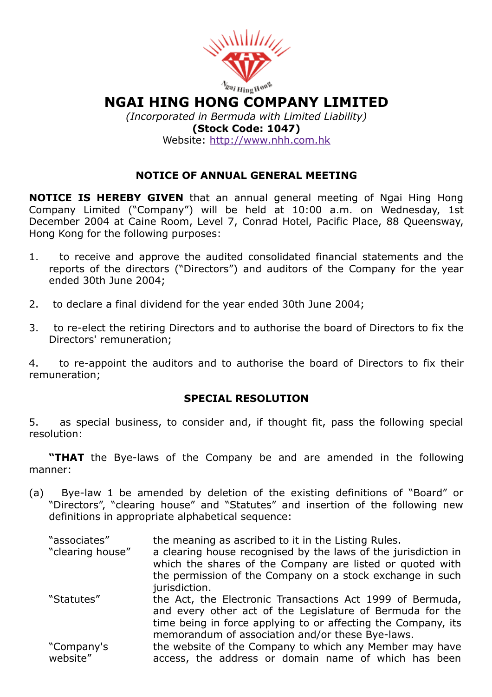

# NGAI HING HONG COMPANY LIMITED

(Incorporated in Bermuda with Limited Liability) (Stock Code: 1047) Website: [http://www.nhh.com.hk](http://www.nhh.com.hk/)

# NOTICE OF ANNUAL GENERAL MEETING

NOTICE IS HEREBY GIVEN that an annual general meeting of Ngai Hing Hong Company Limited ("Company") will be held at 10:00 a.m. on Wednesday, 1st December 2004 at Caine Room, Level 7, Conrad Hotel, Pacific Place, 88 Queensway, Hong Kong for the following purposes:

- 1. to receive and approve the audited consolidated financial statements and the reports of the directors ("Directors") and auditors of the Company for the year ended 30th June 2004;
- 2. to declare a final dividend for the year ended 30th June 2004;
- 3. to re-elect the retiring Directors and to authorise the board of Directors to fix the Directors' remuneration;

4. to re-appoint the auditors and to authorise the board of Directors to fix their remuneration;

#### SPECIAL RESOLUTION

5. as special business, to consider and, if thought fit, pass the following special resolution:

"THAT the Bye-laws of the Company be and are amended in the following manner:

- (a) Bye-law 1 be amended by deletion of the existing definitions of "Board" or "Directors", "clearing house" and "Statutes" and insertion of the following new definitions in appropriate alphabetical sequence:
	- "associates" the meaning as ascribed to it in the Listing Rules. "clearing house" a clearing house recognised by the laws of the jurisdiction in which the shares of the Company are listed or quoted with the permission of the Company on a stock exchange in such jurisdiction. "Statutes" the Act, the Electronic Transactions Act 1999 of Bermuda, and every other act of the Legislature of Bermuda for the time being in force applying to or affecting the Company, its memorandum of association and/or these Bye-laws. "Company's website" the website of the Company to which any Member may have access, the address or domain name of which has been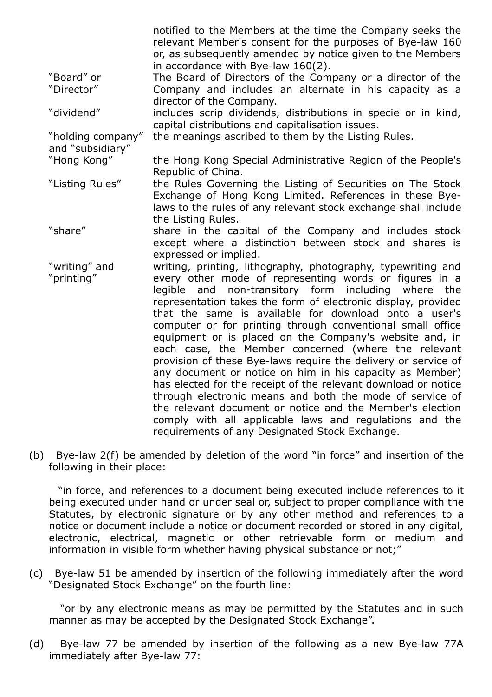|                                       | notified to the Members at the time the Company seeks the<br>relevant Member's consent for the purposes of Bye-law 160<br>or, as subsequently amended by notice given to the Members |
|---------------------------------------|--------------------------------------------------------------------------------------------------------------------------------------------------------------------------------------|
|                                       | in accordance with Bye-law 160(2).                                                                                                                                                   |
| "Board" or                            | The Board of Directors of the Company or a director of the                                                                                                                           |
| "Director"                            | Company and includes an alternate in his capacity as a                                                                                                                               |
|                                       | director of the Company.                                                                                                                                                             |
| "dividend"                            | includes scrip dividends, distributions in specie or in kind,                                                                                                                        |
|                                       | capital distributions and capitalisation issues.                                                                                                                                     |
| "holding company"<br>and "subsidiary" | the meanings ascribed to them by the Listing Rules.                                                                                                                                  |
| "Hong Kong"                           | the Hong Kong Special Administrative Region of the People's                                                                                                                          |
|                                       | Republic of China.                                                                                                                                                                   |
| "Listing Rules"                       | the Rules Governing the Listing of Securities on The Stock                                                                                                                           |
|                                       | Exchange of Hong Kong Limited. References in these Bye-                                                                                                                              |
|                                       | laws to the rules of any relevant stock exchange shall include                                                                                                                       |
|                                       | the Listing Rules.                                                                                                                                                                   |
| "share"                               |                                                                                                                                                                                      |
|                                       | share in the capital of the Company and includes stock                                                                                                                               |
|                                       | except where a distinction between stock and shares is                                                                                                                               |
|                                       | expressed or implied.                                                                                                                                                                |
| "writing" and                         | writing, printing, lithography, photography, typewriting and                                                                                                                         |
| "printing"                            | every other mode of representing words or figures in a                                                                                                                               |
|                                       | non-transitory form including where the<br>legible and                                                                                                                               |
|                                       | representation takes the form of electronic display, provided                                                                                                                        |
|                                       | that the same is available for download onto a user's                                                                                                                                |
|                                       | computer or for printing through conventional small office                                                                                                                           |
|                                       | equipment or is placed on the Company's website and, in                                                                                                                              |
|                                       | each case, the Member concerned (where the relevant                                                                                                                                  |
|                                       | provision of these Bye-laws require the delivery or service of                                                                                                                       |
|                                       | any document or notice on him in his capacity as Member)                                                                                                                             |
|                                       |                                                                                                                                                                                      |
|                                       | has elected for the receipt of the relevant download or notice                                                                                                                       |
|                                       | through electronic means and both the mode of service of                                                                                                                             |
|                                       | the relevant document or notice and the Member's election                                                                                                                            |
|                                       | comply with all applicable laws and regulations and the                                                                                                                              |
|                                       | requirements of any Designated Stock Exchange.                                                                                                                                       |
|                                       |                                                                                                                                                                                      |

(b) Bye-law  $2(f)$  be amended by deletion of the word "in force" and insertion of the following in their place:

"in force, and references to a document being executed include references to it being executed under hand or under seal or, subject to proper compliance with the Statutes, by electronic signature or by any other method and references to a notice or document include a notice or document recorded or stored in any digital, electronic, electrical, magnetic or other retrievable form or medium and information in visible form whether having physical substance or not;"

(c) Bye-law 51 be amended by insertion of the following immediately after the word "Designated Stock Exchange" on the fourth line:

"or by any electronic means as may be permitted by the Statutes and in such manner as may be accepted by the Designated Stock Exchange".

(d) Bye-law 77 be amended by insertion of the following as a new Bye-law 77A immediately after Bye-law 77: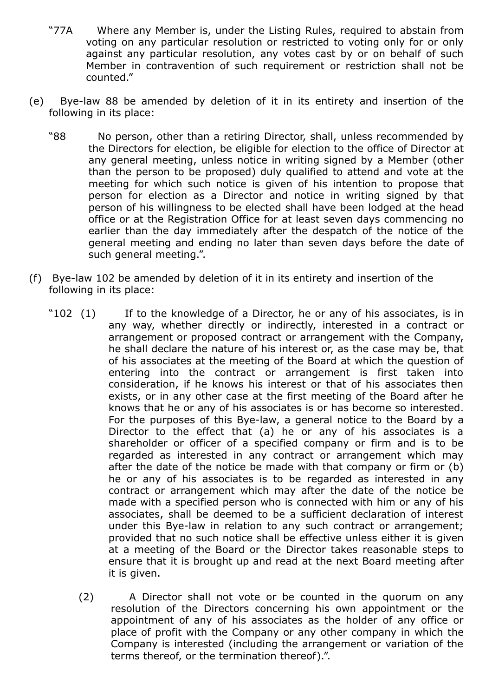- "77A Where any Member is, under the Listing Rules, required to abstain from voting on any particular resolution or restricted to voting only for or only against any particular resolution, any votes cast by or on behalf of such Member in contravention of such requirement or restriction shall not be counted."
- (e) Bye-law 88 be amended by deletion of it in its entirety and insertion of the following in its place:
	- "88 No person, other than a retiring Director, shall, unless recommended by the Directors for election, be eligible for election to the office of Director at any general meeting, unless notice in writing signed by a Member (other than the person to be proposed) duly qualified to attend and vote at the meeting for which such notice is given of his intention to propose that person for election as a Director and notice in writing signed by that person of his willingness to be elected shall have been lodged at the head office or at the Registration Office for at least seven days commencing no earlier than the day immediately after the despatch of the notice of the general meeting and ending no later than seven days before the date of such general meeting.".
- (f) Byelaw 102 be amended by deletion of it in its entirety and insertion of the following in its place:
	- "102 (1) If to the knowledge of a Director, he or any of his associates, is in any way, whether directly or indirectly, interested in a contract or arrangement or proposed contract or arrangement with the Company, he shall declare the nature of his interest or, as the case may be, that of his associates at the meeting of the Board at which the question of entering into the contract or arrangement is first taken into consideration, if he knows his interest or that of his associates then exists, or in any other case at the first meeting of the Board after he knows that he or any of his associates is or has become so interested. For the purposes of this Bye-law, a general notice to the Board by a Director to the effect that (a) he or any of his associates is a shareholder or officer of a specified company or firm and is to be regarded as interested in any contract or arrangement which may after the date of the notice be made with that company or firm or (b) he or any of his associates is to be regarded as interested in any contract or arrangement which may after the date of the notice be made with a specified person who is connected with him or any of his associates, shall be deemed to be a sufficient declaration of interest under this Bye-law in relation to any such contract or arrangement; provided that no such notice shall be effective unless either it is given at a meeting of the Board or the Director takes reasonable steps to ensure that it is brought up and read at the next Board meeting after it is given.
		- (2) A Director shall not vote or be counted in the quorum on any resolution of the Directors concerning his own appointment or the appointment of any of his associates as the holder of any office or place of profit with the Company or any other company in which the Company is interested (including the arrangement or variation of the terms thereof, or the termination thereof).".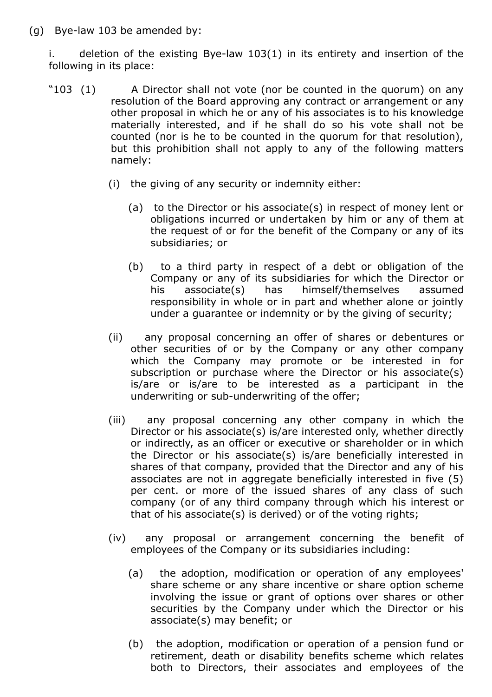$(g)$  Bye-law 103 be amended by:

i. deletion of the existing Bye-law  $103(1)$  in its entirety and insertion of the following in its place:

- "103 (1) A Director shall not vote (nor be counted in the quorum) on any resolution of the Board approving any contract or arrangement or any other proposal in which he or any of his associates is to his knowledge materially interested, and if he shall do so his vote shall not be counted (nor is he to be counted in the quorum for that resolution), but this prohibition shall not apply to any of the following matters namely:
	- (i) the giving of any security or indemnity either:
		- (a) to the Director or his associate(s) in respect of money lent or obligations incurred or undertaken by him or any of them at the request of or for the benefit of the Company or any of its subsidiaries; or
		- (b) to a third party in respect of a debt or obligation of the Company or any of its subsidiaries for which the Director or his associate(s) has himself/themselves assumed responsibility in whole or in part and whether alone or jointly under a guarantee or indemnity or by the giving of security;
	- (ii) any proposal concerning an offer of shares or debentures or other securities of or by the Company or any other company which the Company may promote or be interested in for subscription or purchase where the Director or his associate(s) is/are or is/are to be interested as a participant in the underwriting or sub-underwriting of the offer;
	- (iii) any proposal concerning any other company in which the Director or his associate(s) is/are interested only, whether directly or indirectly, as an officer or executive or shareholder or in which the Director or his associate(s) is/are beneficially interested in shares of that company, provided that the Director and any of his associates are not in aggregate beneficially interested in five (5) per cent. or more of the issued shares of any class of such company (or of any third company through which his interest or that of his associate(s) is derived) or of the voting rights;
	- (iv) any proposal or arrangement concerning the benefit of employees of the Company or its subsidiaries including:
		- (a) the adoption, modification or operation of any employees' share scheme or any share incentive or share option scheme involving the issue or grant of options over shares or other securities by the Company under which the Director or his associate(s) may benefit; or
		- (b) the adoption, modification or operation of a pension fund or retirement, death or disability benefits scheme which relates both to Directors, their associates and employees of the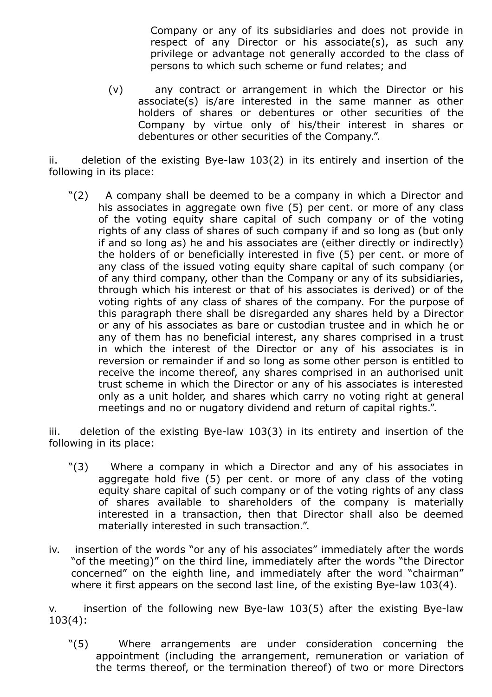Company or any of its subsidiaries and does not provide in respect of any Director or his associate(s), as such any privilege or advantage not generally accorded to the class of persons to which such scheme or fund relates; and

(v) any contract or arrangement in which the Director or his associate(s) is/are interested in the same manner as other holders of shares or debentures or other securities of the Company by virtue only of his/their interest in shares or debentures or other securities of the Company.".

 $ii.$  deletion of the existing Bye-law 103(2) in its entirely and insertion of the following in its place:

"(2) A company shall be deemed to be a company in which a Director and his associates in aggregate own five (5) per cent. or more of any class of the voting equity share capital of such company or of the voting rights of any class of shares of such company if and so long as (but only if and so long as) he and his associates are (either directly or indirectly) the holders of or beneficially interested in five (5) per cent. or more of any class of the issued voting equity share capital of such company (or of any third company, other than the Company or any of its subsidiaries, through which his interest or that of his associates is derived) or of the voting rights of any class of shares of the company. For the purpose of this paragraph there shall be disregarded any shares held by a Director or any of his associates as bare or custodian trustee and in which he or any of them has no beneficial interest, any shares comprised in a trust in which the interest of the Director or any of his associates is in reversion or remainder if and so long as some other person is entitled to receive the income thereof, any shares comprised in an authorised unit trust scheme in which the Director or any of his associates is interested only as a unit holder, and shares which carry no voting right at general meetings and no or nugatory dividend and return of capital rights.".

 $iii.$  deletion of the existing Bye-law 103(3) in its entirety and insertion of the following in its place:

- "(3) Where a company in which a Director and any of his associates in aggregate hold five (5) per cent. or more of any class of the voting equity share capital of such company or of the voting rights of any class of shares available to shareholders of the company is materially interested in a transaction, then that Director shall also be deemed materially interested in such transaction.".
- iv. insertion of the words "or any of his associates" immediately after the words "of the meeting)" on the third line, immediately after the words "the Director concerned" on the eighth line, and immediately after the word "chairman" where it first appears on the second last line, of the existing Bye-law  $103(4)$ .

 $v.$  insertion of the following new Bye-law 103(5) after the existing Bye-law 103(4):

"(5) Where arrangements are under consideration concerning the appointment (including the arrangement, remuneration or variation of the terms thereof, or the termination thereof) of two or more Directors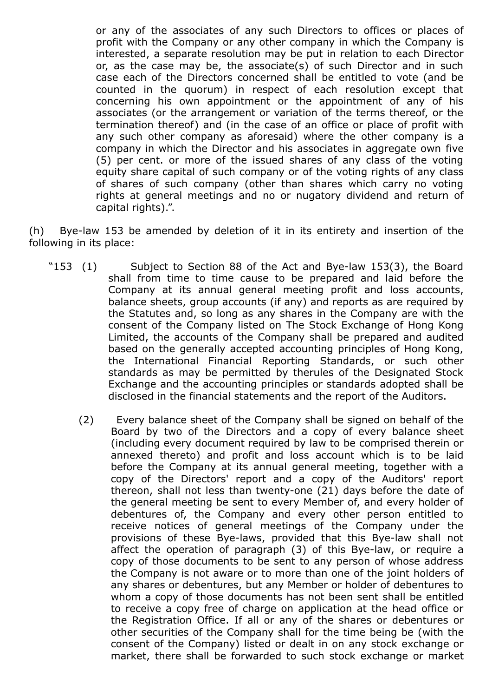or any of the associates of any such Directors to offices or places of profit with the Company or any other company in which the Company is interested, a separate resolution may be put in relation to each Director or, as the case may be, the associate(s) of such Director and in such case each of the Directors concerned shall be entitled to vote (and be counted in the quorum) in respect of each resolution except that concerning his own appointment or the appointment of any of his associates (or the arrangement or variation of the terms thereof, or the termination thereof) and (in the case of an office or place of profit with any such other company as aforesaid) where the other company is a company in which the Director and his associates in aggregate own five (5) per cent. or more of the issued shares of any class of the voting equity share capital of such company or of the voting rights of any class of shares of such company (other than shares which carry no voting rights at general meetings and no or nugatory dividend and return of capital rights).".

 $(h)$  Bye-law 153 be amended by deletion of it in its entirety and insertion of the following in its place:

- "153  $(1)$  Subject to Section 88 of the Act and Bye-law 153 $(3)$ , the Board shall from time to time cause to be prepared and laid before the Company at its annual general meeting profit and loss accounts, balance sheets, group accounts (if any) and reports as are required by the Statutes and, so long as any shares in the Company are with the consent of the Company listed on The Stock Exchange of Hong Kong Limited, the accounts of the Company shall be prepared and audited based on the generally accepted accounting principles of Hong Kong, the International Financial Reporting Standards, or such other standards as may be permitted by therules of the Designated Stock Exchange and the accounting principles or standards adopted shall be disclosed in the financial statements and the report of the Auditors.
	- (2) Every balance sheet of the Company shall be signed on behalf of the Board by two of the Directors and a copy of every balance sheet (including every document required by law to be comprised therein or annexed thereto) and profit and loss account which is to be laid before the Company at its annual general meeting, together with a copy of the Directors' report and a copy of the Auditors' report thereon, shall not less than twenty-one (21) days before the date of the general meeting be sent to every Member of, and every holder of debentures of, the Company and every other person entitled to receive notices of general meetings of the Company under the provisions of these Bye-laws, provided that this Bye-law shall not affect the operation of paragraph (3) of this Bye-law, or require a copy of those documents to be sent to any person of whose address the Company is not aware or to more than one of the joint holders of any shares or debentures, but any Member or holder of debentures to whom a copy of those documents has not been sent shall be entitled to receive a copy free of charge on application at the head office or the Registration Office. If all or any of the shares or debentures or other securities of the Company shall for the time being be (with the consent of the Company) listed or dealt in on any stock exchange or market, there shall be forwarded to such stock exchange or market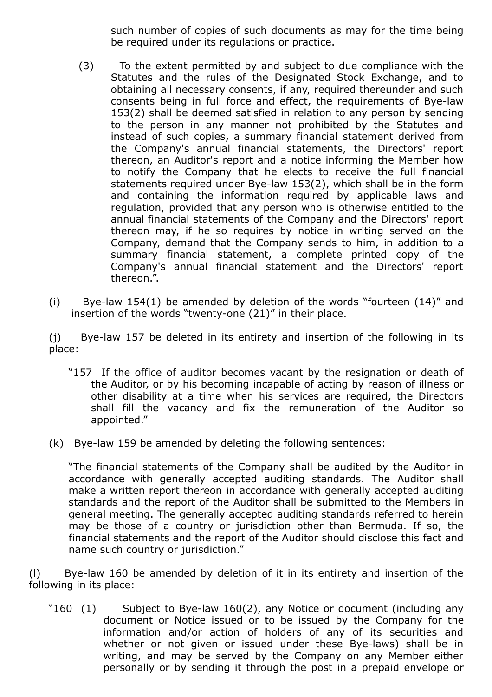such number of copies of such documents as may for the time being be required under its regulations or practice.

- (3) To the extent permitted by and subject to due compliance with the Statutes and the rules of the Designated Stock Exchange, and to obtaining all necessary consents, if any, required thereunder and such consents being in full force and effect, the requirements of Bye-law 153(2) shall be deemed satisfied in relation to any person by sending to the person in any manner not prohibited by the Statutes and instead of such copies, a summary financial statement derived from the Company's annual financial statements, the Directors' report thereon, an Auditor's report and a notice informing the Member how to notify the Company that he elects to receive the full financial statements required under Bye-law  $153(2)$ , which shall be in the form and containing the information required by applicable laws and regulation, provided that any person who is otherwise entitled to the annual financial statements of the Company and the Directors' report thereon may, if he so requires by notice in writing served on the Company, demand that the Company sends to him, in addition to a summary financial statement, a complete printed copy of the Company's annual financial statement and the Directors' report thereon.".
- (i) Bye-law 154(1) be amended by deletion of the words "fourteen  $(14)$ " and insertion of the words "twenty-one  $(21)$ " in their place.

(j) Bye-law 157 be deleted in its entirety and insertion of the following in its place:

- "157 If the office of auditor becomes vacant by the resignation or death of the Auditor, or by his becoming incapable of acting by reason of illness or other disability at a time when his services are required, the Directors shall fill the vacancy and fix the remuneration of the Auditor so appointed."
- $(k)$  Bye-law 159 be amended by deleting the following sentences:

"The financial statements of the Company shall be audited by the Auditor in accordance with generally accepted auditing standards. The Auditor shall make a written report thereon in accordance with generally accepted auditing standards and the report of the Auditor shall be submitted to the Members in general meeting. The generally accepted auditing standards referred to herein may be those of a country or jurisdiction other than Bermuda. If so, the financial statements and the report of the Auditor should disclose this fact and name such country or jurisdiction."

 $(1)$  Bye-law 160 be amended by deletion of it in its entirety and insertion of the following in its place:

"160  $(1)$  Subject to Bye-law 160 $(2)$ , any Notice or document (including any document or Notice issued or to be issued by the Company for the information and/or action of holders of any of its securities and whether or not given or issued under these Bye-laws) shall be in writing, and may be served by the Company on any Member either personally or by sending it through the post in a prepaid envelope or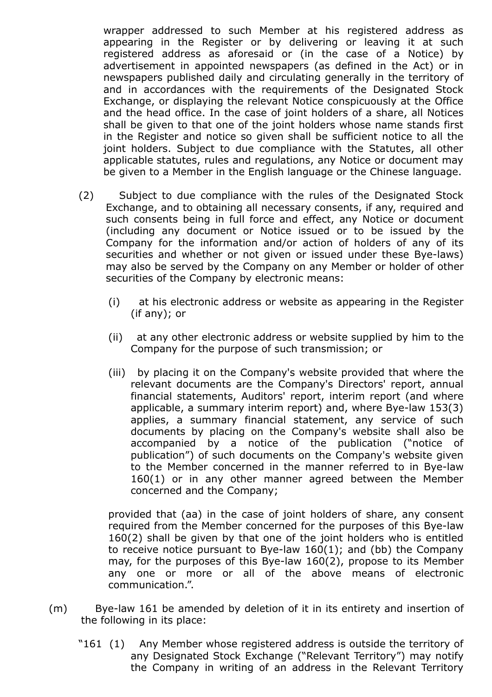wrapper addressed to such Member at his registered address as appearing in the Register or by delivering or leaving it at such registered address as aforesaid or (in the case of a Notice) by advertisement in appointed newspapers (as defined in the Act) or in newspapers published daily and circulating generally in the territory of and in accordances with the requirements of the Designated Stock Exchange, or displaying the relevant Notice conspicuously at the Office and the head office. In the case of joint holders of a share, all Notices shall be given to that one of the joint holders whose name stands first in the Register and notice so given shall be sufficient notice to all the joint holders. Subject to due compliance with the Statutes, all other applicable statutes, rules and regulations, any Notice or document may be given to a Member in the English language or the Chinese language.

- (2) Subject to due compliance with the rules of the Designated Stock Exchange, and to obtaining all necessary consents, if any, required and such consents being in full force and effect, any Notice or document (including any document or Notice issued or to be issued by the Company for the information and/or action of holders of any of its securities and whether or not given or issued under these Bye-laws) may also be served by the Company on any Member or holder of other securities of the Company by electronic means:
	- (i) at his electronic address or website as appearing in the Register (if any); or
	- (ii) at any other electronic address or website supplied by him to the Company for the purpose of such transmission; or
	- (iii) by placing it on the Company's website provided that where the relevant documents are the Company's Directors' report, annual financial statements, Auditors' report, interim report (and where applicable, a summary interim report) and, where Bye-law 153(3) applies, a summary financial statement, any service of such documents by placing on the Company's website shall also be accompanied by a notice of the publication ("notice of publication") of such documents on the Company's website given to the Member concerned in the manner referred to in Bye-law 160(1) or in any other manner agreed between the Member concerned and the Company;

provided that (aa) in the case of joint holders of share, any consent required from the Member concerned for the purposes of this Bye-law 160(2) shall be given by that one of the joint holders who is entitled to receive notice pursuant to Bye-law  $160(1)$ ; and (bb) the Company may, for the purposes of this Bye-law  $160(2)$ , propose to its Member any one or more or all of the above means of electronic communication.".

- (m) Bye-law 161 be amended by deletion of it in its entirety and insertion of the following in its place:
	- "161 (1) Any Member whose registered address is outside the territory of any Designated Stock Exchange ("Relevant Territory") may notify the Company in writing of an address in the Relevant Territory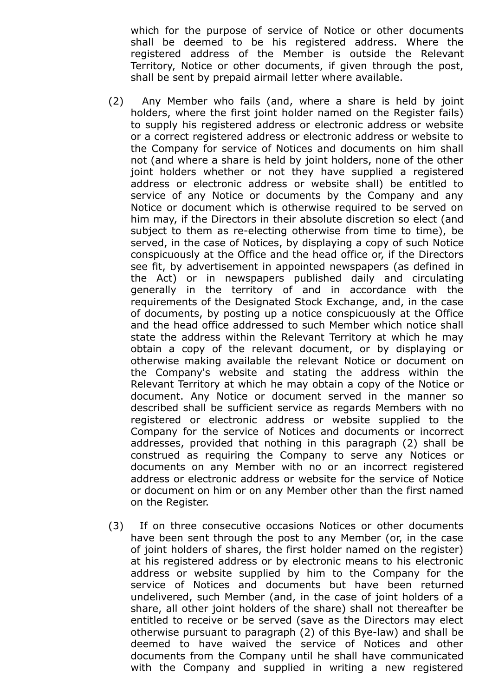which for the purpose of service of Notice or other documents shall be deemed to be his registered address. Where the registered address of the Member is outside the Relevant Territory, Notice or other documents, if given through the post, shall be sent by prepaid airmail letter where available.

- (2) Any Member who fails (and, where a share is held by joint holders, where the first joint holder named on the Register fails) to supply his registered address or electronic address or website or a correct registered address or electronic address or website to the Company for service of Notices and documents on him shall not (and where a share is held by joint holders, none of the other joint holders whether or not they have supplied a registered address or electronic address or website shall) be entitled to service of any Notice or documents by the Company and any Notice or document which is otherwise required to be served on him may, if the Directors in their absolute discretion so elect (and subject to them as re-electing otherwise from time to time), be served, in the case of Notices, by displaying a copy of such Notice conspicuously at the Office and the head office or, if the Directors see fit, by advertisement in appointed newspapers (as defined in the Act) or in newspapers published daily and circulating generally in the territory of and in accordance with the requirements of the Designated Stock Exchange, and, in the case of documents, by posting up a notice conspicuously at the Office and the head office addressed to such Member which notice shall state the address within the Relevant Territory at which he may obtain a copy of the relevant document, or by displaying or otherwise making available the relevant Notice or document on the Company's website and stating the address within the Relevant Territory at which he may obtain a copy of the Notice or document. Any Notice or document served in the manner so described shall be sufficient service as regards Members with no registered or electronic address or website supplied to the Company for the service of Notices and documents or incorrect addresses, provided that nothing in this paragraph (2) shall be construed as requiring the Company to serve any Notices or documents on any Member with no or an incorrect registered address or electronic address or website for the service of Notice or document on him or on any Member other than the first named on the Register.
- (3) If on three consecutive occasions Notices or other documents have been sent through the post to any Member (or, in the case of joint holders of shares, the first holder named on the register) at his registered address or by electronic means to his electronic address or website supplied by him to the Company for the service of Notices and documents but have been returned undelivered, such Member (and, in the case of joint holders of a share, all other joint holders of the share) shall not thereafter be entitled to receive or be served (save as the Directors may elect otherwise pursuant to paragraph (2) of this Bye-law) and shall be deemed to have waived the service of Notices and other documents from the Company until he shall have communicated with the Company and supplied in writing a new registered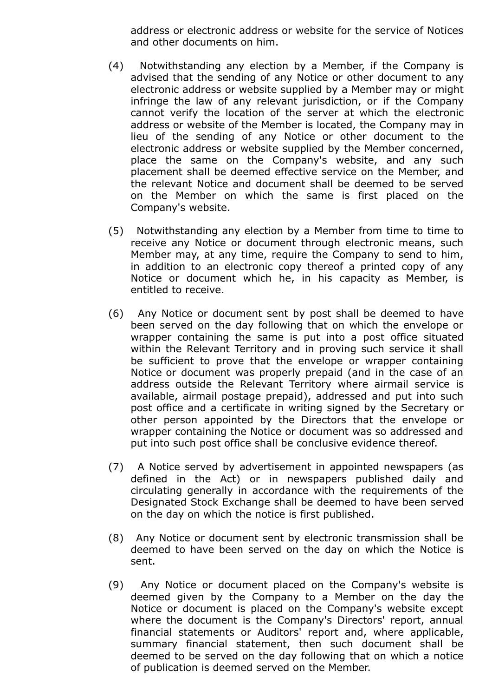address or electronic address or website for the service of Notices and other documents on him.

- (4) Notwithstanding any election by a Member, if the Company is advised that the sending of any Notice or other document to any electronic address or website supplied by a Member may or might infringe the law of any relevant jurisdiction, or if the Company cannot verify the location of the server at which the electronic address or website of the Member is located, the Company may in lieu of the sending of any Notice or other document to the electronic address or website supplied by the Member concerned, place the same on the Company's website, and any such placement shall be deemed effective service on the Member, and the relevant Notice and document shall be deemed to be served on the Member on which the same is first placed on the Company's website.
- (5) Notwithstanding any election by a Member from time to time to receive any Notice or document through electronic means, such Member may, at any time, require the Company to send to him, in addition to an electronic copy thereof a printed copy of any Notice or document which he, in his capacity as Member, is entitled to receive.
- (6) Any Notice or document sent by post shall be deemed to have been served on the day following that on which the envelope or wrapper containing the same is put into a post office situated within the Relevant Territory and in proving such service it shall be sufficient to prove that the envelope or wrapper containing Notice or document was properly prepaid (and in the case of an address outside the Relevant Territory where airmail service is available, airmail postage prepaid), addressed and put into such post office and a certificate in writing signed by the Secretary or other person appointed by the Directors that the envelope or wrapper containing the Notice or document was so addressed and put into such post office shall be conclusive evidence thereof.
- (7) A Notice served by advertisement in appointed newspapers (as defined in the Act) or in newspapers published daily and circulating generally in accordance with the requirements of the Designated Stock Exchange shall be deemed to have been served on the day on which the notice is first published.
- (8) Any Notice or document sent by electronic transmission shall be deemed to have been served on the day on which the Notice is sent.
- (9) Any Notice or document placed on the Company's website is deemed given by the Company to a Member on the day the Notice or document is placed on the Company's website except where the document is the Company's Directors' report, annual financial statements or Auditors' report and, where applicable, summary financial statement, then such document shall be deemed to be served on the day following that on which a notice of publication is deemed served on the Member.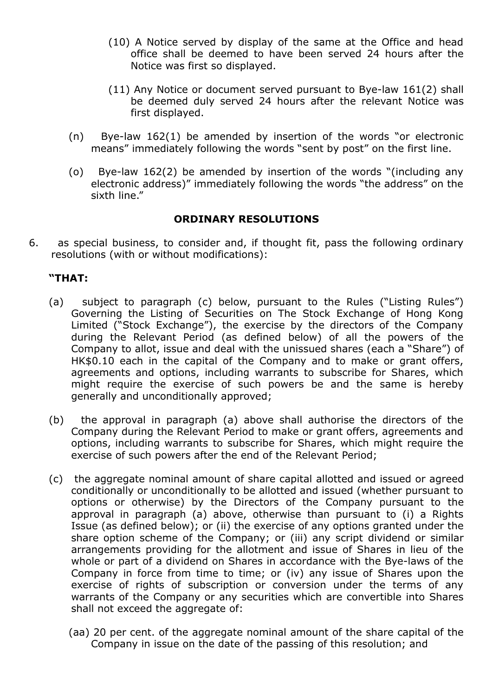- (10) A Notice served by display of the same at the Office and head office shall be deemed to have been served 24 hours after the Notice was first so displayed.
- $(11)$  Any Notice or document served pursuant to Bye-law 161(2) shall be deemed duly served 24 hours after the relevant Notice was first displayed.
- $(n)$  Bye-law 162(1) be amended by insertion of the words "or electronic means" immediately following the words "sent by post" on the first line.
- (o) Bye-law  $162(2)$  be amended by insertion of the words "(including any electronic address)" immediately following the words "the address" on the sixth line."

## ORDINARY RESOLUTIONS

6. as special business, to consider and, if thought fit, pass the following ordinary resolutions (with or without modifications):

## "THAT:

- (a) subject to paragraph (c) below, pursuant to the Rules ("Listing Rules") Governing the Listing of Securities on The Stock Exchange of Hong Kong Limited ("Stock Exchange"), the exercise by the directors of the Company during the Relevant Period (as defined below) of all the powers of the Company to allot, issue and deal with the unissued shares (each a "Share") of HK\$0.10 each in the capital of the Company and to make or grant offers, agreements and options, including warrants to subscribe for Shares, which might require the exercise of such powers be and the same is hereby generally and unconditionally approved;
- (b) the approval in paragraph (a) above shall authorise the directors of the Company during the Relevant Period to make or grant offers, agreements and options, including warrants to subscribe for Shares, which might require the exercise of such powers after the end of the Relevant Period;
- (c) the aggregate nominal amount of share capital allotted and issued or agreed conditionally or unconditionally to be allotted and issued (whether pursuant to options or otherwise) by the Directors of the Company pursuant to the approval in paragraph (a) above, otherwise than pursuant to (i) a Rights Issue (as defined below); or (ii) the exercise of any options granted under the share option scheme of the Company; or (iii) any script dividend or similar arrangements providing for the allotment and issue of Shares in lieu of the whole or part of a dividend on Shares in accordance with the Bye-laws of the Company in force from time to time; or (iv) any issue of Shares upon the exercise of rights of subscription or conversion under the terms of any warrants of the Company or any securities which are convertible into Shares shall not exceed the aggregate of:
	- (aa) 20 per cent. of the aggregate nominal amount of the share capital of the Company in issue on the date of the passing of this resolution; and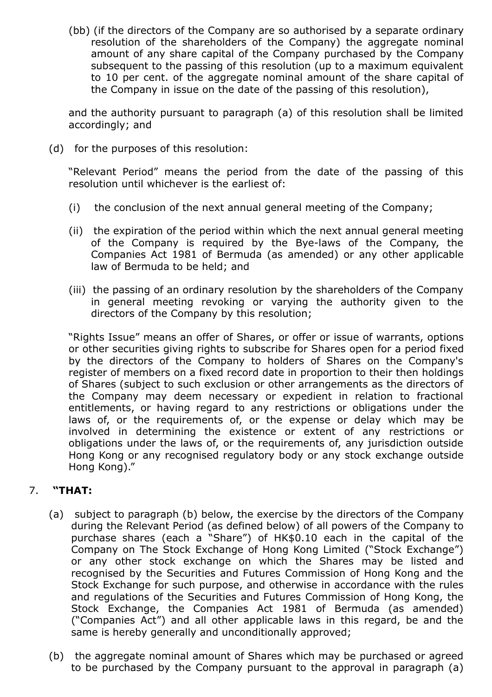(bb) (if the directors of the Company are so authorised by a separate ordinary resolution of the shareholders of the Company) the aggregate nominal amount of any share capital of the Company purchased by the Company subsequent to the passing of this resolution (up to a maximum equivalent to 10 per cent. of the aggregate nominal amount of the share capital of the Company in issue on the date of the passing of this resolution),

and the authority pursuant to paragraph (a) of this resolution shall be limited accordingly; and

(d) for the purposes of this resolution:

"Relevant Period" means the period from the date of the passing of this resolution until whichever is the earliest of:

- (i) the conclusion of the next annual general meeting of the Company;
- (ii) the expiration of the period within which the next annual general meeting of the Company is required by the Bye-laws of the Company, the Companies Act 1981 of Bermuda (as amended) or any other applicable law of Bermuda to be held; and
- (iii) the passing of an ordinary resolution by the shareholders of the Company in general meeting revoking or varying the authority given to the directors of the Company by this resolution;

"Rights Issue" means an offer of Shares, or offer or issue of warrants, options or other securities giving rights to subscribe for Shares open for a period fixed by the directors of the Company to holders of Shares on the Company's register of members on a fixed record date in proportion to their then holdings of Shares (subject to such exclusion or other arrangements as the directors of the Company may deem necessary or expedient in relation to fractional entitlements, or having regard to any restrictions or obligations under the laws of, or the requirements of, or the expense or delay which may be involved in determining the existence or extent of any restrictions or obligations under the laws of, or the requirements of, any jurisdiction outside Hong Kong or any recognised regulatory body or any stock exchange outside Hong Kong)."

#### 7. "THAT:

- (a) subject to paragraph (b) below, the exercise by the directors of the Company during the Relevant Period (as defined below) of all powers of the Company to purchase shares (each a "Share") of HK\$0.10 each in the capital of the Company on The Stock Exchange of Hong Kong Limited ("Stock Exchange") or any other stock exchange on which the Shares may be listed and recognised by the Securities and Futures Commission of Hong Kong and the Stock Exchange for such purpose, and otherwise in accordance with the rules and regulations of the Securities and Futures Commission of Hong Kong, the Stock Exchange, the Companies Act 1981 of Bermuda (as amended) ("Companies Act") and all other applicable laws in this regard, be and the same is hereby generally and unconditionally approved;
- (b) the aggregate nominal amount of Shares which may be purchased or agreed to be purchased by the Company pursuant to the approval in paragraph (a)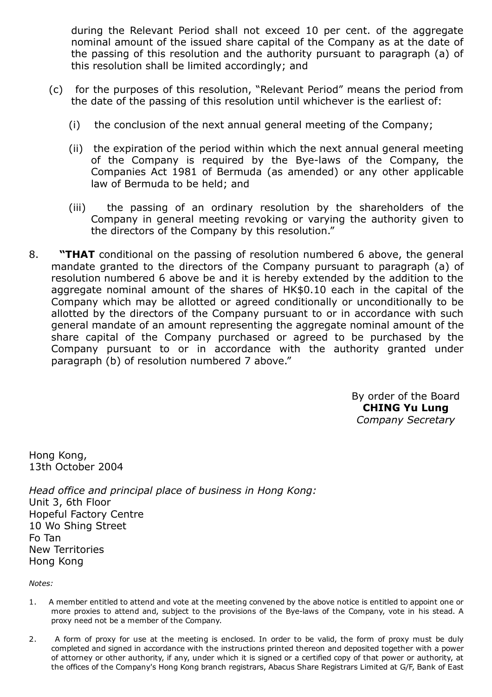during the Relevant Period shall not exceed 10 per cent. of the aggregate nominal amount of the issued share capital of the Company as at the date of the passing of this resolution and the authority pursuant to paragraph (a) of this resolution shall be limited accordingly; and

- (c) for the purposes of this resolution, "Relevant Period" means the period from the date of the passing of this resolution until whichever is the earliest of:
	- (i) the conclusion of the next annual general meeting of the Company;
	- (ii) the expiration of the period within which the next annual general meeting of the Company is required by the Bye-laws of the Company, the Companies Act 1981 of Bermuda (as amended) or any other applicable law of Bermuda to be held; and
	- (iii) the passing of an ordinary resolution by the shareholders of the Company in general meeting revoking or varying the authority given to the directors of the Company by this resolution."
- 8. **"THAT** conditional on the passing of resolution numbered 6 above, the general mandate granted to the directors of the Company pursuant to paragraph (a) of resolution numbered 6 above be and it is hereby extended by the addition to the aggregate nominal amount of the shares of HK\$0.10 each in the capital of the Company which may be allotted or agreed conditionally or unconditionally to be allotted by the directors of the Company pursuant to or in accordance with such general mandate of an amount representing the aggregate nominal amount of the share capital of the Company purchased or agreed to be purchased by the Company pursuant to or in accordance with the authority granted under paragraph (b) of resolution numbered 7 above."

By order of the Board CHING Yu Lung Company Secretary

Hong Kong, 13th October 2004

Head office and principal place of business in Hong Kong: Unit 3, 6th Floor Hopeful Factory Centre 10 Wo Shing Street Fo Tan New Territories Hong Kong

Notes:

- 1. A member entitled to attend and vote at the meeting convened by the above notice is entitled to appoint one or more proxies to attend and, subject to the provisions of the Bye-laws of the Company, vote in his stead. A proxy need not be a member of the Company.
- 2. A form of proxy for use at the meeting is enclosed. In order to be valid, the form of proxy must be duly completed and signed in accordance with the instructions printed thereon and deposited together with a power of attorney or other authority, if any, under which it is signed or a certified copy of that power or authority, at the offices of the Company's Hong Kong branch registrars, Abacus Share Registrars Limited at G/F, Bank of East